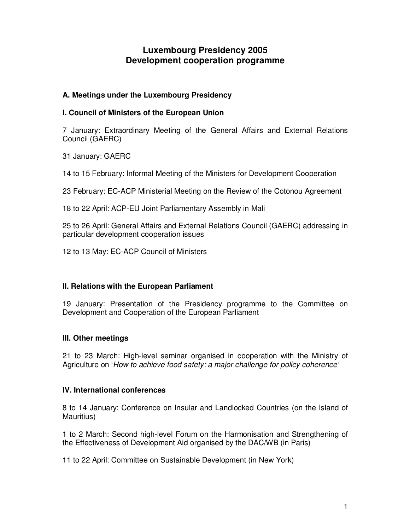# **Luxembourg Presidency 2005 Development cooperation programme**

### **A. Meetings under the Luxembourg Presidency**

### **I. Council of Ministers of the European Union**

7 January: Extraordinary Meeting of the General Affairs and External Relations Council (GAERC)

31 January: GAERC

14 to 15 February: Informal Meeting of the Ministers for Development Cooperation

23 February: EC-ACP Ministerial Meeting on the Review of the Cotonou Agreement

18 to 22 April: ACP-EU Joint Parliamentary Assembly in Mali

25 to 26 April: General Affairs and External Relations Council (GAERC) addressing in particular development cooperation issues

12 to 13 May: EC-ACP Council of Ministers

### **II. Relations with the European Parliament**

19 January: Presentation of the Presidency programme to the Committee on Development and Cooperation of the European Parliament

### **III. Other meetings**

21 to 23 March: High-level seminar organised in cooperation with the Ministry of Agriculture on '*How to achieve food safety: a major challenge for policy coherence'*

### **IV. International conferences**

8 to 14 January: Conference on Insular and Landlocked Countries (on the Island of Mauritius)

1 to 2 March: Second high-level Forum on the Harmonisation and Strengthening of the Effectiveness of Development Aid organised by the DAC/WB (in Paris)

11 to 22 April: Committee on Sustainable Development (in New York)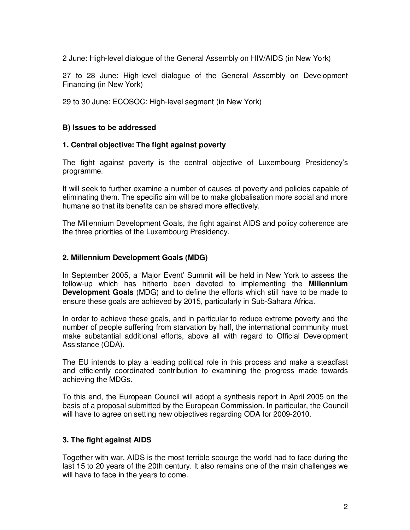2 June: High-level dialogue of the General Assembly on HIV/AIDS (in New York)

27 to 28 June: High-level dialogue of the General Assembly on Development Financing (in New York)

29 to 30 June: ECOSOC: High-level segment (in New York)

### **B) Issues to be addressed**

#### **1. Central objective: The fight against poverty**

The fight against poverty is the central objective of Luxembourg Presidency's programme.

It will seek to further examine a number of causes of poverty and policies capable of eliminating them. The specific aim will be to make globalisation more social and more humane so that its benefits can be shared more effectively.

The Millennium Development Goals, the fight against AIDS and policy coherence are the three priorities of the Luxembourg Presidency.

#### **2. Millennium Development Goals (MDG)**

In September 2005, a 'Major Event' Summit will be held in New York to assess the follow-up which has hitherto been devoted to implementing the **Millennium Development Goals** (MDG) and to define the efforts which still have to be made to ensure these goals are achieved by 2015, particularly in Sub-Sahara Africa.

In order to achieve these goals, and in particular to reduce extreme poverty and the number of people suffering from starvation by half, the international community must make substantial additional efforts, above all with regard to Official Development Assistance (ODA).

The EU intends to play a leading political role in this process and make a steadfast and efficiently coordinated contribution to examining the progress made towards achieving the MDGs.

To this end, the European Council will adopt a synthesis report in April 2005 on the basis of a proposal submitted by the European Commission. In particular, the Council will have to agree on setting new objectives regarding ODA for 2009-2010.

### **3. The fight against AIDS**

Together with war, AIDS is the most terrible scourge the world had to face during the last 15 to 20 years of the 20th century. It also remains one of the main challenges we will have to face in the years to come.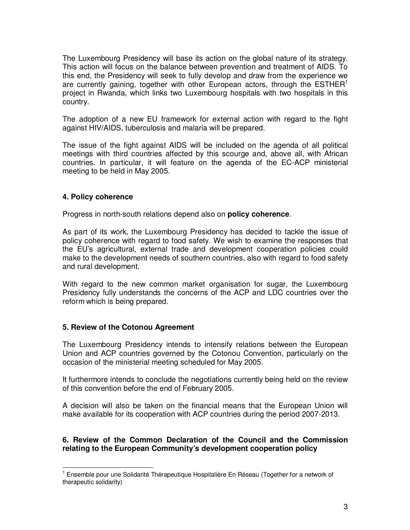The Luxembourg Presidency will base its action on the global nature of its strategy. This action will focus on the balance between prevention and treatment of AIDS. To this end, the Presidency will seek to fully develop and draw from the experience we are currently gaining, together with other European actors, through the  $\mathsf{ESTHER}^1$ project in Rwanda, which links two Luxembourg hospitals with two hospitals in this country.

The adoption of a new EU framework for external action with regard to the fight against HIV/AIDS, tuberculosis and malaria will be prepared.

The issue of the fight against AIDS will be included on the agenda of all political meetings with third countries affected by this scourge and, above all, with African countries. In particular, it will feature on the agenda of the EC-ACP ministerial meeting to be held in May 2005.

### **4. Policy coherence**

Progress in north-south relations depend also on **policy coherence**.

As part of its work, the Luxembourg Presidency has decided to tackle the issue of policy coherence with regard to food safety. We wish to examine the responses that the EU's agricultural, external trade and development cooperation policies could make to the development needs of southern countries, also with regard to food safety and rural development.

With regard to the new common market organisation for sugar, the Luxembourg Presidency fully understands the concerns of the ACP and LDC countries over the reform which is being prepared.

### **5. Review of the Cotonou Agreement**

The Luxembourg Presidency intends to intensify relations between the European Union and ACP countries governed by the Cotonou Convention, particularly on the occasion of the ministerial meeting scheduled for May 2005.

It furthermore intends to conclude the negotiations currently being held on the review of this convention before the end of February 2005.

A decision will also be taken on the financial means that the European Union will make available for its cooperation with ACP countries during the period 2007-2013.

#### **6. Review of the Common Declaration of the Council and the Commission relating to the European Community's development cooperation policy**

 $1$  Ensemble pour une Solidarité Thérapeutique Hospitalière En Réseau (Together for a network of therapeutic solidarity)